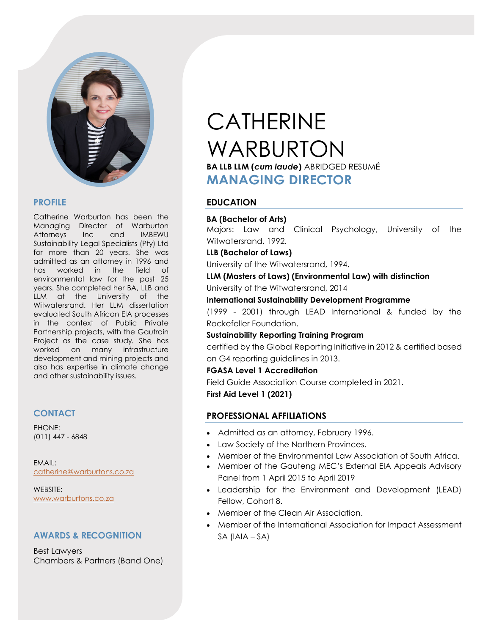

## **PROFILE**

Catherine Warburton has been the Managing Director of Warburton Attorneys Inc and IMBEWU Sustainability Legal Specialists (Pty) Ltd for more than 20 years. She was admitted as an attorney in 1996 and has worked in the field of environmental law for the past 25 years. She completed her BA, LLB and LLM at the University of the Witwatersrand. Her LLM dissertation evaluated South African EIA processes in the context of Public Private Partnership projects, with the Gautrain Project as the case study*.* She has worked on many infrastructure development and mining projects and also has expertise in climate change and other sustainability issues.

# **CONTACT**

PHONE: (011) 447 - 6848

EMAIL: [catherine@warburtons.co.za](mailto:catherine@warburtons.co.za)

WEBSITE: [www.warburtons.co.za](http://www.warburtons.co.za/)

# **AWARDS & RECOGNITION**

Best Lawyers Chambers & Partners (Band One)

# CATHERINE WARBURTON **BA LLB LLM (***cum laude***)** ABRIDGED RESUMÉ **MANAGING DIRECTOR**

# **EDUCATION**

#### **BA (Bachelor of Arts)**

Majors: Law and Clinical Psychology, University of the Witwatersrand, 1992.

#### **LLB (Bachelor of Laws)**

University of the Witwatersrand, 1994.

#### **LLM (Masters of Laws) (Environmental Law) with distinction**

University of the Witwatersrand, 2014

#### **International Sustainability Development Programme**

(1999 - 2001) through LEAD International & funded by the Rockefeller Foundation.

#### **Sustainability Reporting Training Program**

certified by the Global Reporting Initiative in 2012 & certified based on G4 reporting guidelines in 2013.

#### **FGASA Level 1 Accreditation**

Field Guide Association Course completed in 2021.

**First Aid Level 1 (2021)**

# **PROFESSIONAL AFFILIATIONS**

- Admitted as an attorney, February 1996.
- Law Society of the Northern Provinces.
- Member of the Environmental Law Association of South Africa.
- Member of the Gauteng MEC's External EIA Appeals Advisory Panel from 1 April 2015 to April 2019
- Leadership for the Environment and Development (LEAD) Fellow, Cohort 8.
- Member of the Clean Air Association.
- Member of the International Association for Impact Assessment SA (IAIA – SA)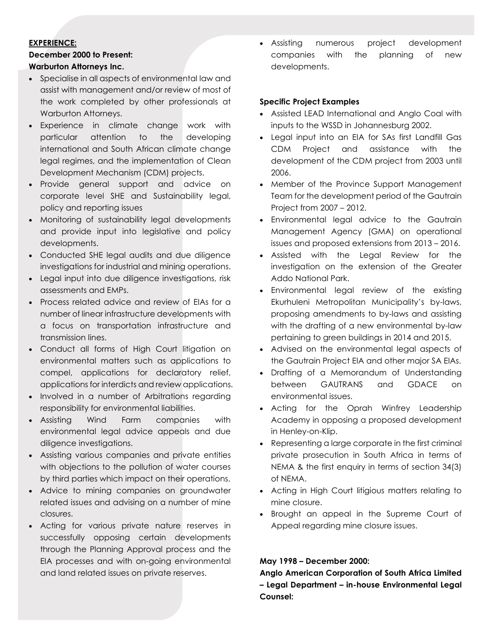#### **EXPERIENCE:**

#### **December 2000 to Present:**

#### **Warburton Attorneys Inc.**

- Specialise in all aspects of environmental law and assist with management and/or review of most of the work completed by other professionals at Warburton Attorneys.
- Experience in climate change work with particular attention to the developing international and South African climate change legal regimes, and the implementation of Clean Development Mechanism (CDM) projects.
- Provide general support and advice on corporate level SHE and Sustainability legal, policy and reporting issues
- Monitoring of sustainability legal developments and provide input into legislative and policy developments.
- Conducted SHE legal audits and due diligence investigations for industrial and mining operations.
- Legal input into due diligence investigations, risk assessments and EMPs.
- Process related advice and review of EIAs for a number of linear infrastructure developments with a focus on transportation infrastructure and transmission lines.
- Conduct all forms of High Court litigation on environmental matters such as applications to compel, applications for declaratory relief, applications for interdicts and review applications.
- Involved in a number of Arbitrations regarding responsibility for environmental liabilities.
- Assisting Wind Farm companies with environmental legal advice appeals and due diligence investigations.
- Assisting various companies and private entities with objections to the pollution of water courses by third parties which impact on their operations.
- Advice to mining companies on groundwater related issues and advising on a number of mine closures.
- Acting for various private nature reserves in successfully opposing certain developments through the Planning Approval process and the EIA processes and with on-going environmental and land related issues on private reserves.

• Assisting numerous project development companies with the planning of new developments.

#### **Specific Project Examples**

- Assisted LEAD International and Anglo Coal with inputs to the WSSD in Johannesburg 2002.
- Legal input into an EIA for SAs first Landfill Gas CDM Project and assistance with the development of the CDM project from 2003 until 2006.
- Member of the Province Support Management Team for the development period of the Gautrain Project from 2007 – 2012.
- Environmental legal advice to the Gautrain Management Agency (GMA) on operational issues and proposed extensions from 2013 – 2016.
- Assisted with the Legal Review for the investigation on the extension of the Greater Addo National Park.
- Environmental legal review of the existing Ekurhuleni Metropolitan Municipality's by-laws, proposing amendments to by-laws and assisting with the drafting of a new environmental by-law pertaining to green buildings in 2014 and 2015.
- Advised on the environmental legal aspects of the Gautrain Project EIA and other major SA EIAs.
- Drafting of a Memorandum of Understanding between GAUTRANS and GDACE on environmental issues.
- Acting for the Oprah Winfrey Leadership Academy in opposing a proposed development in Henley-on-Klip.
- Representing a large corporate in the first criminal private prosecution in South Africa in terms of NEMA & the first enquiry in terms of section 34(3) of NEMA.
- Acting in High Court litigious matters relating to mine closure.
- Brought an appeal in the Supreme Court of Appeal regarding mine closure issues.

#### **May 1998 – December 2000:**

**Anglo American Corporation of South Africa Limited – Legal Department – in-house Environmental Legal Counsel:**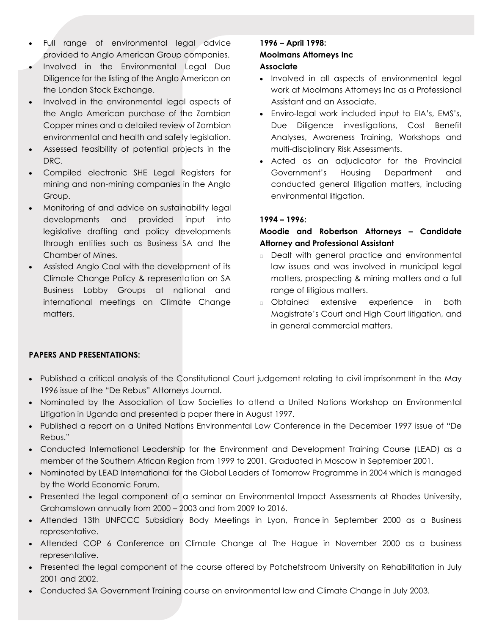- Full range of environmental legal advice provided to Anglo American Group companies.
- Involved in the Environmental Legal Due Diligence for the listing of the Anglo American on the London Stock Exchange.
- Involved in the environmental legal aspects of the Anglo American purchase of the Zambian Copper mines and a detailed review of Zambian environmental and health and safety legislation.
- Assessed feasibility of potential projects in the DRC.
- Compiled electronic SHE Legal Registers for mining and non-mining companies in the Anglo Group.
- Monitoring of and advice on sustainability legal developments and provided input into legislative drafting and policy developments through entities such as Business SA and the Chamber of Mines.
- Assisted Anglo Coal with the development of its Climate Change Policy & representation on SA Business Lobby Groups at national and international meetings on Climate Change matters.

# **1996 – April 1998: Moolmans Attorneys Inc**

## **Associate**

- Involved in all aspects of environmental legal work at Moolmans Attorneys Inc as a Professional Assistant and an Associate.
- Enviro-legal work included input to EIA's, EMS's, Due Diligence investigations, Cost Benefit Analyses, Awareness Training, Workshops and multi-disciplinary Risk Assessments.
- Acted as an adjudicator for the Provincial Government's Housing Department and conducted general litigation matters, including environmental litigation.

# **1994 – 1996:**

# **Moodie and Robertson Attorneys – Candidate Attorney and Professional Assistant**

- Dealt with general practice and environmental law issues and was involved in municipal legal matters, prospecting & mining matters and a full range of litigious matters.
- Obtained extensive experience in both Magistrate's Court and High Court litigation, and in general commercial matters.

# **PAPERS AND PRESENTATIONS:**

- Published a critical analysis of the Constitutional Court judgement relating to civil imprisonment in the May 1996 issue of the "De Rebus" Attorneys Journal.
- Nominated by the Association of Law Societies to attend a United Nations Workshop on Environmental Litigation in Uganda and presented a paper there in August 1997.
- Published a report on a United Nations Environmental Law Conference in the December 1997 issue of "De Rebus."
- Conducted International Leadership for the Environment and Development Training Course (LEAD) as a member of the Southern African Region from 1999 to 2001. Graduated in Moscow in September 2001.
- Nominated by LEAD International for the Global Leaders of Tomorrow Programme in 2004 which is managed by the World Economic Forum.
- Presented the legal component of a seminar on Environmental Impact Assessments at Rhodes University, Grahamstown annually from 2000 – 2003 and from 2009 to 2016.
- Attended 13th UNFCCC Subsidiary Body Meetings in Lyon, France in September 2000 as a Business representative.
- Attended COP 6 Conference on Climate Change at The Hague in November 2000 as a business representative.
- Presented the legal component of the course offered by Potchefstroom University on Rehabilitation in July 2001 and 2002.
- Conducted SA Government Training course on environmental law and Climate Change in July 2003.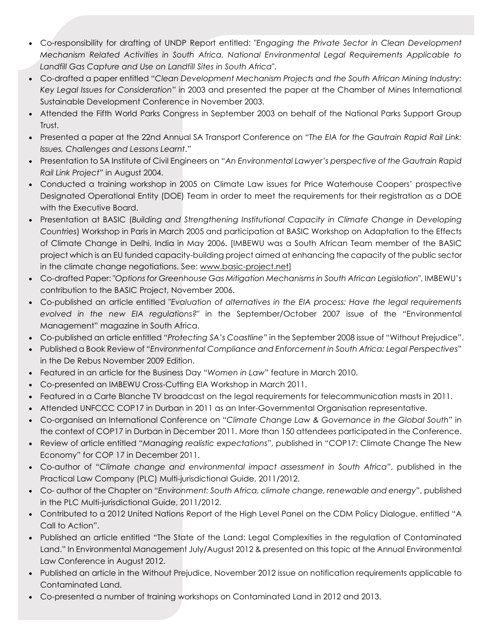- Co-responsibility for drafting of UNDP Report entitled: "*Engaging the Private Sector in Clean Development Mechanism Related Activities in South Africa. National Environmental Legal Requirements Applicable to Landfill Gas Capture and Use on Landfill Sites in South Africa*".
- Co-drafted a paper entitled "*Clean Development Mechanism Projects and the South African Mining Industry: Key Legal Issues for Consideration*" in 2003 and presented the paper at the Chamber of Mines International Sustainable Development Conference in November 2003.
- Attended the Fifth World Parks Congress in September 2003 on behalf of the National Parks Support Group Trust.
- Presented a paper at the 22nd Annual SA Transport Conference on "*The EIA for the Gautrain Rapid Rail Link: Issues, Challenges and Lessons Learnt*."
- Presentation to SA Institute of Civil Engineers on "*An Environmental Lawyer's perspective of the Gautrain Rapid Rail Link Project*" in August 2004.
- Conducted a training workshop in 2005 on Climate Law issues for Price Waterhouse Coopers' prospective Designated Operational Entity (DOE) Team in order to meet the requirements for their registration as a DOE with the Executive Board.
- Presentation at BASIC (*Building and Strengthening Institutional Capacity in Climate Change in Developing Countries*) Workshop in Paris in March 2005 and participation at BASIC Workshop on Adaptation to the Effects of Climate Change in Delhi, India in May 2006. [IMBEWU was a South African Team member of the BASIC project which is an EU funded capacity-building project aimed at enhancing the capacity of the public sector in the climate change negotiations. See: [www.basic-project.net\]](http://www.basic-project.net/)
- Co-drafted Paper: "*Options for Greenhouse Gas Mitigation Mechanisms in South African Legislation*", IMBEWU's contribution to the BASIC Project, November 2006.
- Co-published an article entitled "*Evaluation of alternatives in the EIA process: Have the legal requirements evolved in the new EIA regulations?*" in the September/October 2007 issue of the "Environmental Management" magazine in South Africa.
- Co-published an article entitled *"Protecting SA's Coastline"* in the September 2008 issue of "Without Prejudice".
- Published a Book Review of "*Environmental Compliance and Enforcement in South Africa: Legal Perspectives*" in the De Rebus November 2009 Edition.
- Featured in an article for the Business Day "*Women in Law*" feature in March 2010.
- Co-presented an IMBEWU Cross-Cutting EIA Workshop in March 2011.
- Featured in a Carte Blanche TV broadcast on the legal requirements for telecommunication masts in 2011.
- Attended UNFCCC COP17 in Durban in 2011 as an Inter-Governmental Organisation representative.
- Co-organised an International Conference on "*Climate Change Law & Governance in the Global South*" in the context of COP17 in Durban in December 2011. More than 150 attendees participated in the Conference.
- Review of article entitled "*Managing realistic expectations*", published in "COP17: Climate Change The New Economy" for COP 17 in December 2011.
- Co-author of "*Climate change and environmental impact assessment in South Africa*", published in the Practical Law Company (PLC) Multi-jurisdictional Guide, 2011/2012.
- Co- author of the Chapter on "*Environment: South Africa, climate change, renewable and energy*", published in the PLC Multi-jurisdictional Guide, 2011/2012.
- Contributed to a 2012 United Nations Report of the High Level Panel on the CDM Policy Dialogue, entitled "A Call to Action".
- Published an article entitled "The State of the Land: Legal Complexities in the regulation of Contaminated Land." In Environmental Management July/August 2012 & presented on this topic at the Annual Environmental Law Conference in August 2012.
- Published an article in the Without Prejudice, November 2012 issue on notification requirements applicable to Contaminated Land.
- Co-presented a number of training workshops on Contaminated Land in 2012 and 2013.